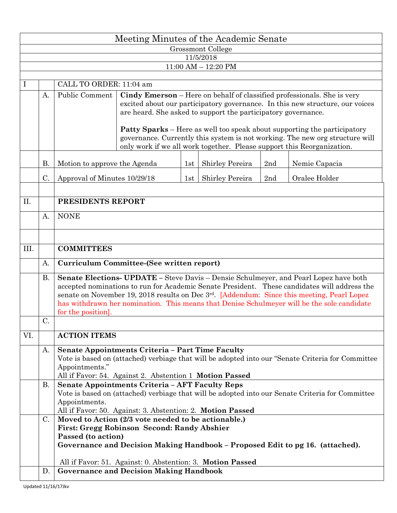|                                      | Meeting Minutes of the Academic Senate |                                                                                                                                                                                                                                                                                                                                                                                                         |                                                                                                                                                                                                                                                                                                                                                                                              |     |                 |     |               |  |  |  |  |  |  |  |
|--------------------------------------|----------------------------------------|---------------------------------------------------------------------------------------------------------------------------------------------------------------------------------------------------------------------------------------------------------------------------------------------------------------------------------------------------------------------------------------------------------|----------------------------------------------------------------------------------------------------------------------------------------------------------------------------------------------------------------------------------------------------------------------------------------------------------------------------------------------------------------------------------------------|-----|-----------------|-----|---------------|--|--|--|--|--|--|--|
| Grossmont College                    |                                        |                                                                                                                                                                                                                                                                                                                                                                                                         |                                                                                                                                                                                                                                                                                                                                                                                              |     |                 |     |               |  |  |  |  |  |  |  |
| 11/5/2018<br>$11:00$ AM $- 12:20$ PM |                                        |                                                                                                                                                                                                                                                                                                                                                                                                         |                                                                                                                                                                                                                                                                                                                                                                                              |     |                 |     |               |  |  |  |  |  |  |  |
|                                      |                                        |                                                                                                                                                                                                                                                                                                                                                                                                         |                                                                                                                                                                                                                                                                                                                                                                                              |     |                 |     |               |  |  |  |  |  |  |  |
| $\mathbf{I}$                         |                                        | CALL TO ORDER: 11:04 am                                                                                                                                                                                                                                                                                                                                                                                 |                                                                                                                                                                                                                                                                                                                                                                                              |     |                 |     |               |  |  |  |  |  |  |  |
|                                      | A.                                     | Public Comment                                                                                                                                                                                                                                                                                                                                                                                          | Cindy Emerson - Here on behalf of classified professionals. She is very<br>excited about our participatory governance. In this new structure, our voices<br>are heard. She asked to support the participatory governance.<br><b>Patty Sparks</b> – Here as well too speak about supporting the participatory<br>governance. Currently this system is not working. The new org structure will |     |                 |     |               |  |  |  |  |  |  |  |
|                                      |                                        |                                                                                                                                                                                                                                                                                                                                                                                                         | only work if we all work together. Please support this Reorganization.                                                                                                                                                                                                                                                                                                                       |     |                 |     |               |  |  |  |  |  |  |  |
|                                      | <b>B.</b>                              | Motion to approve the Agenda                                                                                                                                                                                                                                                                                                                                                                            |                                                                                                                                                                                                                                                                                                                                                                                              | 1st | Shirley Pereira | 2nd | Nemie Capacia |  |  |  |  |  |  |  |
|                                      | C.                                     | Approval of Minutes 10/29/18                                                                                                                                                                                                                                                                                                                                                                            |                                                                                                                                                                                                                                                                                                                                                                                              |     | Shirley Pereira | 2nd | Oralee Holder |  |  |  |  |  |  |  |
|                                      |                                        | 1st                                                                                                                                                                                                                                                                                                                                                                                                     |                                                                                                                                                                                                                                                                                                                                                                                              |     |                 |     |               |  |  |  |  |  |  |  |
| II.                                  |                                        | PRESIDENTS REPORT                                                                                                                                                                                                                                                                                                                                                                                       |                                                                                                                                                                                                                                                                                                                                                                                              |     |                 |     |               |  |  |  |  |  |  |  |
|                                      | A.                                     | <b>NONE</b>                                                                                                                                                                                                                                                                                                                                                                                             |                                                                                                                                                                                                                                                                                                                                                                                              |     |                 |     |               |  |  |  |  |  |  |  |
|                                      |                                        |                                                                                                                                                                                                                                                                                                                                                                                                         |                                                                                                                                                                                                                                                                                                                                                                                              |     |                 |     |               |  |  |  |  |  |  |  |
| III.                                 |                                        | <b>COMMITTEES</b>                                                                                                                                                                                                                                                                                                                                                                                       |                                                                                                                                                                                                                                                                                                                                                                                              |     |                 |     |               |  |  |  |  |  |  |  |
|                                      | A.                                     | Curriculum Committee-(See written report)                                                                                                                                                                                                                                                                                                                                                               |                                                                                                                                                                                                                                                                                                                                                                                              |     |                 |     |               |  |  |  |  |  |  |  |
|                                      | В.                                     | Senate Elections- UPDATE - Steve Davis - Densie Schulmeyer, and Pearl Lopez have both<br>accepted nominations to run for Academic Senate President. These candidates will address the<br>senate on November 19, 2018 results on Dec 3rd. [Addendum: Since this meeting, Pearl Lopez<br>has withdrawn her nomination. This means that Denise Schulmeyer will be the sole candidate<br>for the position]. |                                                                                                                                                                                                                                                                                                                                                                                              |     |                 |     |               |  |  |  |  |  |  |  |
|                                      | C.                                     |                                                                                                                                                                                                                                                                                                                                                                                                         |                                                                                                                                                                                                                                                                                                                                                                                              |     |                 |     |               |  |  |  |  |  |  |  |
| VI.                                  |                                        | <b>ACTION ITEMS</b>                                                                                                                                                                                                                                                                                                                                                                                     |                                                                                                                                                                                                                                                                                                                                                                                              |     |                 |     |               |  |  |  |  |  |  |  |
|                                      | A.                                     | <b>Senate Appointments Criteria - Part Time Faculty</b><br>Vote is based on (attached) verbiage that will be adopted into our "Senate Criteria for Committee<br>Appointments."<br>All if Favor: 54. Against 2. Abstention 1 Motion Passed                                                                                                                                                               |                                                                                                                                                                                                                                                                                                                                                                                              |     |                 |     |               |  |  |  |  |  |  |  |
|                                      | В.                                     | <b>Senate Appointments Criteria - AFT Faculty Reps</b><br>Vote is based on (attached) verbiage that will be adopted into our Senate Criteria for Committee<br>Appointments.<br>All if Favor: 50. Against: 3. Abstention: 2. Motion Passed                                                                                                                                                               |                                                                                                                                                                                                                                                                                                                                                                                              |     |                 |     |               |  |  |  |  |  |  |  |
|                                      | C.                                     | Moved to Action (2/3 vote needed to be actionable.)<br>First: Gregg Robinson Second: Randy Abshier<br>Passed (to action)<br>Governance and Decision Making Handbook – Proposed Edit to pg 16. (attached).                                                                                                                                                                                               |                                                                                                                                                                                                                                                                                                                                                                                              |     |                 |     |               |  |  |  |  |  |  |  |
|                                      | D.                                     | All if Favor: 51. Against: 0. Abstention: 3. Motion Passed<br><b>Governance and Decision Making Handbook</b>                                                                                                                                                                                                                                                                                            |                                                                                                                                                                                                                                                                                                                                                                                              |     |                 |     |               |  |  |  |  |  |  |  |
|                                      |                                        |                                                                                                                                                                                                                                                                                                                                                                                                         |                                                                                                                                                                                                                                                                                                                                                                                              |     |                 |     |               |  |  |  |  |  |  |  |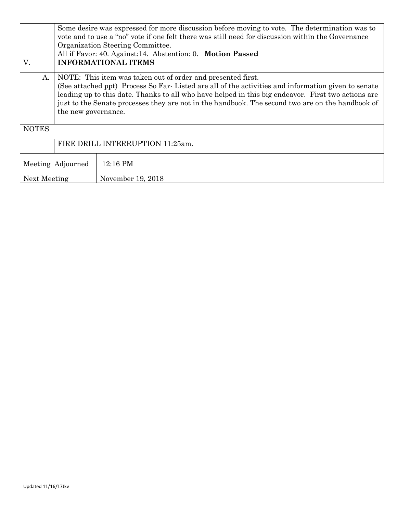|                   |    | Some desire was expressed for more discussion before moving to vote. The determination was to<br>vote and to use a "no" vote if one felt there was still need for discussion within the Governance<br>Organization Steering Committee.                                                                                                                                                             |                                                            |  |  |  |  |  |  |  |  |
|-------------------|----|----------------------------------------------------------------------------------------------------------------------------------------------------------------------------------------------------------------------------------------------------------------------------------------------------------------------------------------------------------------------------------------------------|------------------------------------------------------------|--|--|--|--|--|--|--|--|
|                   |    |                                                                                                                                                                                                                                                                                                                                                                                                    | All if Favor: 40. Against:14. Abstention: 0. Motion Passed |  |  |  |  |  |  |  |  |
| V.                |    | <b>INFORMATIONAL ITEMS</b>                                                                                                                                                                                                                                                                                                                                                                         |                                                            |  |  |  |  |  |  |  |  |
|                   | A. | NOTE: This item was taken out of order and presented first.<br>(See attached ppt) Process So Far-Listed are all of the activities and information given to senate<br>leading up to this date. Thanks to all who have helped in this big endeavor. First two actions are<br>just to the Senate processes they are not in the handbook. The second two are on the handbook of<br>the new governance. |                                                            |  |  |  |  |  |  |  |  |
| <b>NOTES</b>      |    |                                                                                                                                                                                                                                                                                                                                                                                                    |                                                            |  |  |  |  |  |  |  |  |
|                   |    | FIRE DRILL INTERRUPTION 11:25am.                                                                                                                                                                                                                                                                                                                                                                   |                                                            |  |  |  |  |  |  |  |  |
| Meeting Adjourned |    |                                                                                                                                                                                                                                                                                                                                                                                                    | 12:16 PM                                                   |  |  |  |  |  |  |  |  |
| Next Meeting      |    |                                                                                                                                                                                                                                                                                                                                                                                                    | November 19, 2018                                          |  |  |  |  |  |  |  |  |